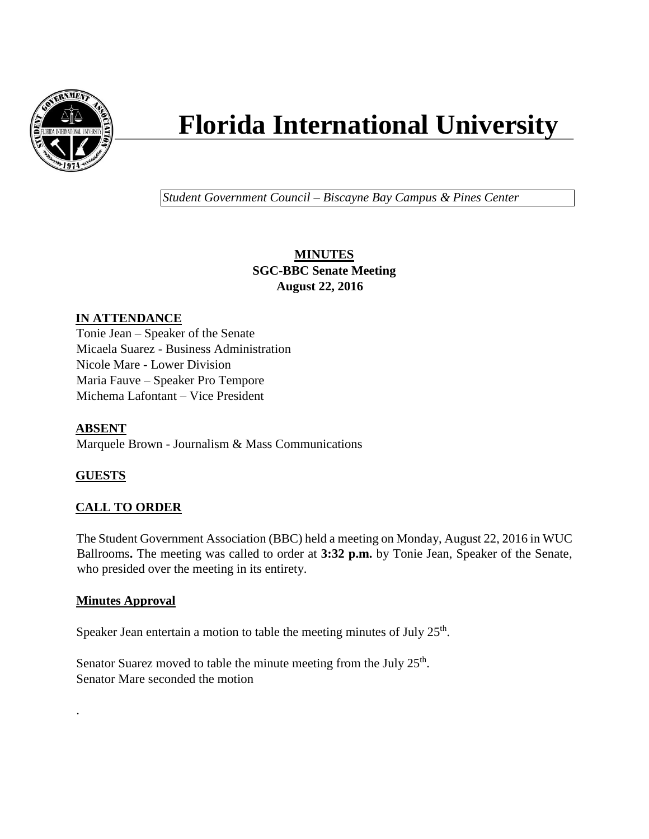

# **Florida International University**

*Student Government Council – Biscayne Bay Campus & Pines Center*

## **MINUTES SGC-BBC Senate Meeting August 22, 2016**

## **IN ATTENDANCE**

Tonie Jean – Speaker of the Senate Micaela Suarez - Business Administration Nicole Mare - Lower Division Maria Fauve – Speaker Pro Tempore Michema Lafontant – Vice President

**ABSENT** Marquele Brown - Journalism & Mass Communications

# **GUESTS**

.

## **CALL TO ORDER**

The Student Government Association (BBC) held a meeting on Monday, August 22, 2016 in WUC Ballrooms**.** The meeting was called to order at **3:32 p.m.** by Tonie Jean, Speaker of the Senate, who presided over the meeting in its entirety.

## **Minutes Approval**

Speaker Jean entertain a motion to table the meeting minutes of July  $25<sup>th</sup>$ .

Senator Suarez moved to table the minute meeting from the July  $25<sup>th</sup>$ . Senator Mare seconded the motion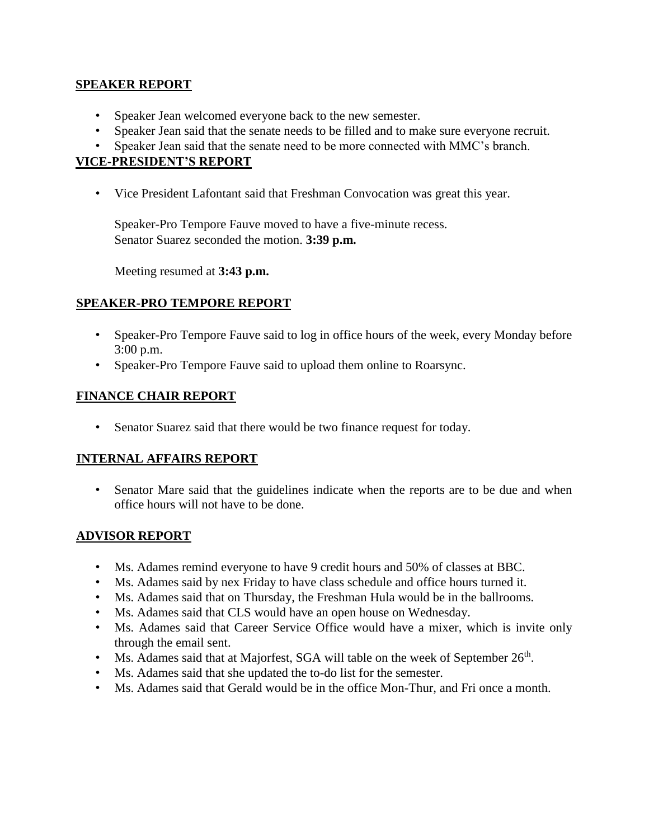#### **SPEAKER REPORT**

- Speaker Jean welcomed everyone back to the new semester.
- Speaker Jean said that the senate needs to be filled and to make sure everyone recruit.
- Speaker Jean said that the senate need to be more connected with MMC's branch.

#### **VICE-PRESIDENT'S REPORT**

• Vice President Lafontant said that Freshman Convocation was great this year.

Speaker-Pro Tempore Fauve moved to have a five-minute recess. Senator Suarez seconded the motion. **3:39 p.m.**

Meeting resumed at **3:43 p.m.**

#### **SPEAKER-PRO TEMPORE REPORT**

- Speaker-Pro Tempore Fauve said to log in office hours of the week, every Monday before 3:00 p.m.
- Speaker-Pro Tempore Fauve said to upload them online to Roarsync.

#### **FINANCE CHAIR REPORT**

• Senator Suarez said that there would be two finance request for today.

#### **INTERNAL AFFAIRS REPORT**

• Senator Mare said that the guidelines indicate when the reports are to be due and when office hours will not have to be done.

#### **ADVISOR REPORT**

- Ms. Adames remind everyone to have 9 credit hours and 50% of classes at BBC.
- Ms. Adames said by nex Friday to have class schedule and office hours turned it.
- Ms. Adames said that on Thursday, the Freshman Hula would be in the ballrooms.
- Ms. Adames said that CLS would have an open house on Wednesday.
- Ms. Adames said that Career Service Office would have a mixer, which is invite only through the email sent.
- Ms. Adames said that at Majorfest, SGA will table on the week of September  $26<sup>th</sup>$ .
- Ms. Adames said that she updated the to-do list for the semester.
- Ms. Adames said that Gerald would be in the office Mon-Thur, and Fri once a month.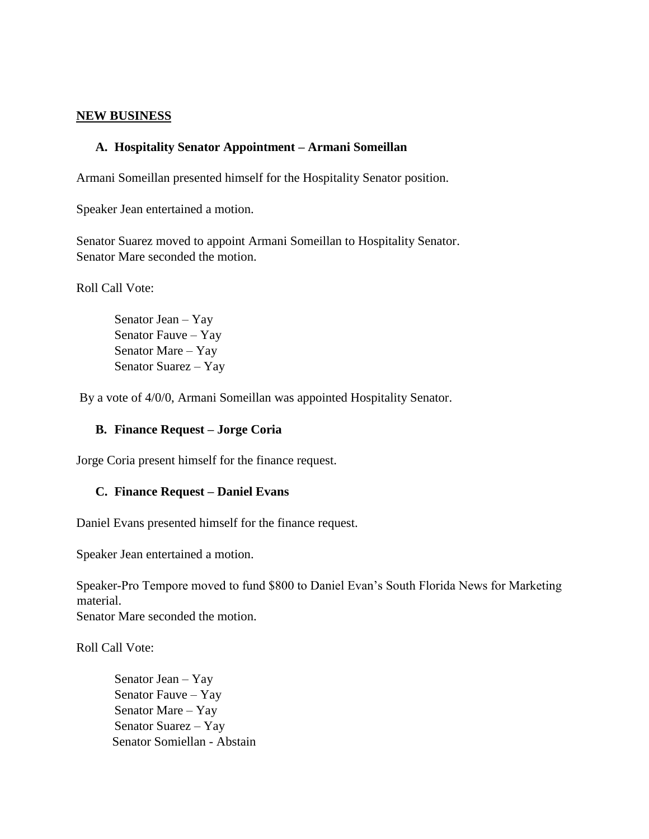#### **NEW BUSINESS**

#### **A. Hospitality Senator Appointment – Armani Someillan**

Armani Someillan presented himself for the Hospitality Senator position.

Speaker Jean entertained a motion.

Senator Suarez moved to appoint Armani Someillan to Hospitality Senator. Senator Mare seconded the motion.

Roll Call Vote:

Senator Jean – Yay Senator Fauve – Yay Senator Mare – Yay Senator Suarez – Yay

By a vote of 4/0/0, Armani Someillan was appointed Hospitality Senator.

#### **B. Finance Request – Jorge Coria**

Jorge Coria present himself for the finance request.

#### **C. Finance Request – Daniel Evans**

Daniel Evans presented himself for the finance request.

Speaker Jean entertained a motion.

Speaker-Pro Tempore moved to fund \$800 to Daniel Evan's South Florida News for Marketing material. Senator Mare seconded the motion.

Roll Call Vote:

Senator Jean – Yay Senator Fauve – Yay Senator Mare – Yay Senator Suarez – Yay Senator Somiellan - Abstain